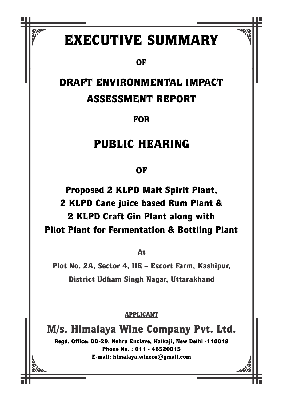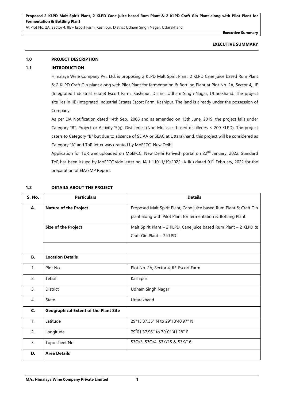**Executive Summary**

### **EXECUTIVE SUMMARY**

# **1.0 PROJECT DESCRIPTION**

# **1.1 INTRODUCTION**

Himalaya Wine Company Pvt. Ltd. is proposing 2 KLPD Malt Spirit Plant, 2 KLPD Cane juice based Rum Plant & 2 KLPD Craft Gin plant along with Pilot Plant for fermentation & Bottling Plant at Plot No. 2A, Sector 4, IIE (Integrated Industrial Estate) Escort Farm, Kashipur, District Udham Singh Nagar, Uttarakhand. The project site lies in IIE (Integrated Industrial Estate) Escort Farm, Kashipur. The land is already under the possession of Company.

As per EIA Notification dated 14th Sep., 2006 and as amended on 13th June, 2019, the project falls under Category "B", Project or Activity '5(g)' Distilleries (Non Molasses based distilleries ≤ 200 KLPD). The project caters to Category "B" but due to absence of SEIAA or SEAC at Uttarakhand, this project will be considered as Category "A" and ToR letter was granted by MoEFCC, New Delhi.

Application for ToR was uploaded on MoEFCC, New Delhi Parivesh portal on 22<sup>nd</sup> January, 2022. Standard ToR has been issued by MoEFCC vide letter no. IA-J-11011/19/2022-IA-II(I) dated 01<sup>st</sup> February, 2022 for the preparation of EIA/EMP Report.

| <b>S. No.</b>    | <b>Particulars</b>                           | <b>Details</b>                                                     |  |
|------------------|----------------------------------------------|--------------------------------------------------------------------|--|
| Α.               | <b>Nature of the Project</b>                 | Proposed Malt Spirit Plant, Cane juice based Rum Plant & Craft Gin |  |
|                  |                                              | plant along with Pilot Plant for fermentation & Bottling Plant.    |  |
|                  | <b>Size of the Project</b>                   | Malt Spirit Plant - 2 KLPD, Cane juice based Rum Plant - 2 KLPD &  |  |
|                  |                                              | Craft Gin Plant - 2 KLPD                                           |  |
|                  |                                              |                                                                    |  |
| В.               | <b>Location Details</b>                      |                                                                    |  |
| 1.               | Plot No.                                     | Plot No. 2A, Sector 4, IIE-Escort Farm                             |  |
| 2.               | Tehsil                                       | Kashipur                                                           |  |
| $\overline{3}$ . | District                                     | <b>Udham Singh Nagar</b>                                           |  |
| $\overline{4}$ . | State                                        | Uttarakhand                                                        |  |
| $\mathsf{C}$     | <b>Geographical Extent of the Plant Site</b> |                                                                    |  |
| 1.               | Latitude                                     | 29°13'37.35" N to 29°13'40.97" N                                   |  |
| 2.               | Longitude                                    | 79 <sup>0</sup> 01'37.96" to 79 <sup>0</sup> 01'41.28" E           |  |
| $\overline{3}$ . | Topo sheet No.                               | 53O/3, 53O/4, 53K/15 & 53K/16                                      |  |
| D.               | <b>Area Details</b>                          |                                                                    |  |

# **1.2 DETAILS ABOUT THE PROJECT**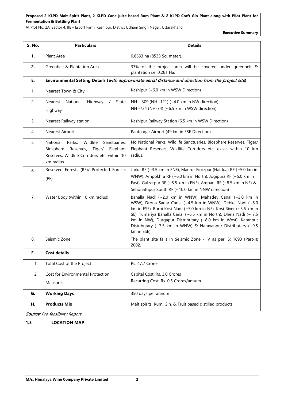At Plot No. 2A, Sector 4, IIE – Escort Farm, Kashipur, District Udham Singh Nagar, Uttarakhand

**Executive Summary**

| S. No. | <b>Particulars</b>                                                                                                                                         | <b>Details</b>                                                                                                                                                                                                                                                                                                                                                                                                    |  |
|--------|------------------------------------------------------------------------------------------------------------------------------------------------------------|-------------------------------------------------------------------------------------------------------------------------------------------------------------------------------------------------------------------------------------------------------------------------------------------------------------------------------------------------------------------------------------------------------------------|--|
| 1.     | Plant Area                                                                                                                                                 | 0.8533 ha (8533 Sq. meter).                                                                                                                                                                                                                                                                                                                                                                                       |  |
| 2.     | Greenbelt & Plantation Area                                                                                                                                | 33% of the project area will be covered under greenbelt &<br>plantation i.e, 0.281 Ha.                                                                                                                                                                                                                                                                                                                            |  |
| E.     |                                                                                                                                                            | Environmental Setting Details (with approximate aerial distance and direction from the project site)                                                                                                                                                                                                                                                                                                              |  |
| 1.     | Nearest Town & City                                                                                                                                        | Kashipur (~6.0 km in WSW Direction)                                                                                                                                                                                                                                                                                                                                                                               |  |
| 2.     | Nearest<br>National<br>Highway<br>State<br>$\sqrt{2}$<br>Highway                                                                                           | NH - 309 (NH - 121) (~4.0 km in NW direction)<br>NH -734 (NH-74) (~6.5 km in WSW direction)                                                                                                                                                                                                                                                                                                                       |  |
| 3.     | Nearest Railway station                                                                                                                                    | Kashipur Railway Station (6.5 km in WSW Direction)                                                                                                                                                                                                                                                                                                                                                                |  |
| 4.     | <b>Nearest Airport</b>                                                                                                                                     | Pantnagar Airport (49 km in ESE Direction)                                                                                                                                                                                                                                                                                                                                                                        |  |
| 5.     | National<br>Wildlife<br>Sanctuaries,<br>Parks,<br>Biosphere<br>Tiger/<br>Elephant<br>Reserves,<br>Reserves, Wildlife Corridors etc. within 10<br>km radius | No National Parks, Wildlife Sanctuaries, Biosphere Reserves, Tiger/<br>Elephant Reserves, Wildlife Corridors etc. exists within 10 km<br>radius.                                                                                                                                                                                                                                                                  |  |
| 6.     | Reserved Forests (RF)/ Protected Forests<br>(PF)                                                                                                           | Jurka RF (~3.5 km in ENE), Manrur Firozpur (Haldua) RF (~5.0 km in<br>WNW), Ampokhra RF (~6.0 km in North), Jogipura RF (~5.0 km in<br>East), Gulzarpur RF ( $\sim$ 5.5 km in ENE), Ampani RF ( $\sim$ 8.5 km in NE) &<br>Sehonathpur South RF (~10.0 km in NNW direction)                                                                                                                                        |  |
| 7.     | Water Body (within 10 km radius)                                                                                                                           | Bahalla Nadi (~2.0 km in WNW), Mahadev Canal (~3.0 km in<br>WSW), Drona Sagar Canal (~4.5 km in WNW), Debka Nadi (~5.0<br>km in ESE), Burhi Kosi Nadi (~5.0 km in NE), Kosi River (~5.5 km in<br>SE), Tumariya Bahalla Canal (~6.5 km in North), Dhela Nadi (~ 7.5<br>km in NW), Durgapur Distributary (~8.0 km in West), Karanpur<br>Distributary (~7.5 km in WNW) & Narayanpur Distributary (~9.5<br>km in ESE) |  |
| 8.     | Seismic Zone                                                                                                                                               | The plant site falls in Seismic Zone - IV as per IS: 1893 (Part-I):<br>2002.                                                                                                                                                                                                                                                                                                                                      |  |
| F.     | <b>Cost details</b>                                                                                                                                        |                                                                                                                                                                                                                                                                                                                                                                                                                   |  |
| 1.     | Total Cost of the Project                                                                                                                                  | Rs. 47.7 Crores                                                                                                                                                                                                                                                                                                                                                                                                   |  |
| 2.     | Cost for Environmental Protection                                                                                                                          | Capital Cost: Rs. 3.0 Crores                                                                                                                                                                                                                                                                                                                                                                                      |  |
|        | Measures                                                                                                                                                   | Recurring Cost: Rs. 0.5 Crores/annum                                                                                                                                                                                                                                                                                                                                                                              |  |
| G.     | <b>Working Days</b>                                                                                                                                        | 350 days per annum                                                                                                                                                                                                                                                                                                                                                                                                |  |
| Н.     | <b>Products Mix</b>                                                                                                                                        | Malt spirits, Rum, Gin, & Fruit based distilled products                                                                                                                                                                                                                                                                                                                                                          |  |

Source: Pre-feasibility Report

**1.3 LOCATION MAP**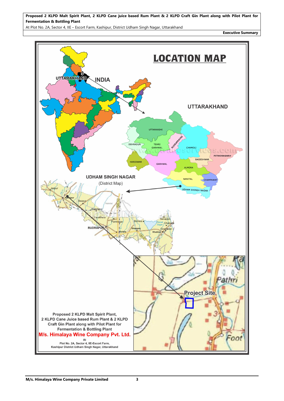At Plot No. 2A, Sector 4, IIE – Escort Farm, Kashipur, District Udham Singh Nagar, Uttarakhand

**Executive Summary**

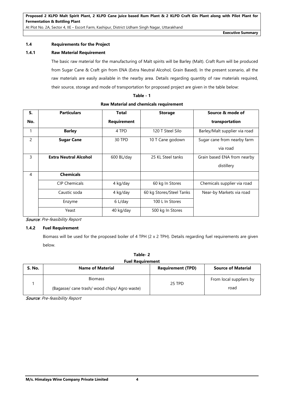# **1.4 Requirements for the Project**

# **1.4.1 Raw Material Requirement**

The basic raw material for the manufacturing of Malt spirits will be Barley (Malt). Craft Rum will be produced from Sugar Cane & Craft gin from ENA (Extra Neutral Alcohol, Grain Based). In the present scenario, all the raw materials are easily available in the nearby area. Details regarding quantity of raw materials required, their source, storage and mode of transportation for proposed project are given in the table below:

| 1<br>I<br>г.<br>× |
|-------------------|
|-------------------|

| S.  | <b>Particulars</b>           | <b>Total</b>       | <b>Storage</b>           | Source & mode of              |
|-----|------------------------------|--------------------|--------------------------|-------------------------------|
| No. |                              | <b>Requirement</b> |                          | transportation                |
| 1   | <b>Barley</b>                | 4 TPD              | 120 T Steel Silo         | Barley/Malt supplier via road |
| 2   | <b>Sugar Cane</b>            | 30 TPD             | 10 T Cane godown         | Sugar cane from nearby farm   |
|     |                              |                    |                          | via road                      |
| 3   | <b>Extra Neutral Alcohol</b> | 600 BL/day         | 25 KL Steel tanks        | Grain based ENA from nearby   |
|     |                              |                    |                          | distillery                    |
| 4   | <b>Chemicals</b>             |                    |                          |                               |
|     | <b>CIP Chemicals</b>         | 4 kg/day           | 60 kg In Stores          | Chemicals supplier via road   |
|     | Caustic soda                 | 4 kg/day           | 60 kg Stores/Steel Tanks | Near-by Markets via road      |
|     | Enzyme                       | 6 L/day            | 100 L In Stores          |                               |
|     | Yeast                        | 40 kg/day          | 500 kg In Stores         |                               |

#### **Raw Material and chemicals requirement**

Source: Pre-feasibility Report

# **1.4.2 Fuel Requirement**

Biomass will be used for the proposed boiler of 4 TPH (2 x 2 TPH). Details regarding fuel requirements are given below.

|               | Table-2                                                         |                          |                                 |  |  |
|---------------|-----------------------------------------------------------------|--------------------------|---------------------------------|--|--|
|               | <b>Fuel Requirement</b>                                         |                          |                                 |  |  |
| <b>S. No.</b> | <b>Name of Material</b>                                         | <b>Requirement (TPD)</b> | <b>Source of Material</b>       |  |  |
|               | <b>Biomass</b><br>(Bagasse/ cane trash/ wood chips/ Agro waste) | 25 TPD                   | From local suppliers by<br>road |  |  |

Source: Pre-feasibility Report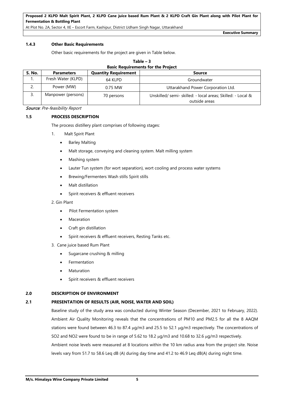At Plot No. 2A, Sector 4, IIE – Escort Farm, Kashipur, District Udham Singh Nagar, Uttarakhand

**Executive Summary**

# **1.4.3 Other Basic Requirements**

Other basic requirements for the project are given in Table below.

| Table $-3$                                |
|-------------------------------------------|
| <b>Basic Requirements for the Project</b> |

| <b>S. No.</b> | <b>Parameters</b>  | <b>Quantity Requirement</b> | Source                                                                       |
|---------------|--------------------|-----------------------------|------------------------------------------------------------------------------|
| ι.            | Fresh Water (KLPD) | 64 KLPD                     | Groundwater                                                                  |
| ـ ـ           | Power (MW)         | $0.75$ MW                   | Uttarakhand Power Corporation Ltd.                                           |
| 3.            | Manpower (persons) | 70 persons                  | Unskilled/ semi- skilled: - local areas; Skilled: - Local &<br>outside areas |

Source: Pre-feasibility Report

#### **1.5 PROCESS DESCRIPTION**

The process distillery plant comprises of following stages:

- 1. Malt Spirit Plant
	- Barley Malting
	- Malt storage, conveying and cleaning system. Malt milling system
	- Mashing system
	- Lauter Tun system (for wort separation), wort cooling and process water systems
	- Brewing/Fermenters Wash stills Spirit stills
	- Malt distillation
	- Spirit receivers & effluent receivers

#### 2. Gin Plant

- Pilot Fermentation system
- **Maceration**
- Craft gin distillation
- Spirit receivers & effluent receivers, Resting Tanks etc.
- 3. Cane juice based Rum Plant
	- Sugarcane crushing & milling
	- **Fermentation**
	- **Maturation**
	- Spirit receivers & effluent receivers

#### **2.0 DESCRIPTION OF ENVIRONMENT**

# **2.1 PRESENTATION OF RESULTS (AIR, NOISE, WATER AND SOIL)**

Baseline study of the study area was conducted during Winter Season (December, 2021 to February, 2022). Ambient Air Quality Monitoring reveals that the concentrations of PM10 and PM2.5 for all the 8 AAQM stations were found between 46.3 to 87.4 µg/m3 and 25.5 to 52.1 µg/m3 respectively. The concentrations of SO2 and NO2 were found to be in range of 5.62 to 18.2 µg/m3 and 10.68 to 32.6 µg/m3 respectively. Ambient noise levels were measured at 8 locations within the 10 km radius area from the project site. Noise levels vary from 51.7 to 58.6 Leq dB (A) during day time and 41.2 to 46.9 Leq dB(A) during night time.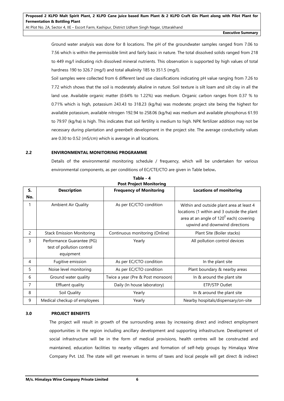**Executive Summary**

Ground water analysis was done for 8 locations. The pH of the groundwater samples ranged from 7.06 to 7.56 which is within the permissible limit and fairly basic in nature. The total dissolved solids ranged from 218 to 449 mg/l indicating rich dissolved mineral nutrients. This observation is supported by high values of total hardness 190 to 326.7 (mg/l) and total alkalinity 185 to 351.5 (mg/l).

Soil samples were collected from 6 different land use classifications indicating pH value ranging from 7.26 to 7.72 which shows that the soil is moderately alkaline in nature. Soil texture is silt loam and silt clay in all the land use. Available organic matter (0.64% to 1.22%) was medium. Organic carbon ranges from 0.37 % to 0.71% which is high, potassium 243.43 to 318.23 (kg/ha) was moderate; project site being the highest for available potassium, available nitrogen 192.94 to 258.06 (kg/ha) was medium and available phosphorus 61.93 to 79.97 (kg/ha) is high. This indicates that soil fertility is medium to high. NPK fertilizer addition may not be necessary during plantation and greenbelt development in the project site. The average conductivity values are 0.30 to 0.52 (mS/cm) which is average in all locations.

# **2.2 ENVIRONMENTAL MONITORING PROGRAMME**

Details of the environmental monitoring schedule / frequency, which will be undertaken for various environmental components, as per conditions of EC/CTE/CTO are given in Table below**.**

|           | <b>POST Project Monitoring</b>                                       |                                   |                                                                                                                                                                         |  |  |  |
|-----------|----------------------------------------------------------------------|-----------------------------------|-------------------------------------------------------------------------------------------------------------------------------------------------------------------------|--|--|--|
| S.<br>No. | <b>Description</b>                                                   | <b>Frequency of Monitoring</b>    | <b>Locations of monitoring</b>                                                                                                                                          |  |  |  |
|           | <b>Ambient Air Quality</b>                                           | As per EC/CTO condition           | Within and outside plant area at least 4<br>locations (1 within and 3 outside the plant<br>area at an angle of $120^0$ each) covering<br>upwind and downwind directions |  |  |  |
| 2         | <b>Stack Emission Monitoring</b>                                     | Continuous monitoring (Online)    | Plant Site (Boiler stacks)                                                                                                                                              |  |  |  |
| 3         | Performance Guarantee (PG)<br>test of pollution control<br>equipment | Yearly                            | All pollution control devices                                                                                                                                           |  |  |  |
| 4         | Fugitive emission                                                    | As per EC/CTO condition           | In the plant site                                                                                                                                                       |  |  |  |
| 5         | Noise level monitoring                                               | As per EC/CTO condition           | Plant boundary & nearby areas                                                                                                                                           |  |  |  |
| 6         | Ground water quality                                                 | Twice a year (Pre & Post monsoon) | In & around the plant site                                                                                                                                              |  |  |  |
| 7         | Effluent quality                                                     | Daily (In house laboratory)       | ETP/STP Outlet                                                                                                                                                          |  |  |  |
| 8         | Soil Quality                                                         | Yearly                            | In & around the plant site                                                                                                                                              |  |  |  |
| 9         | Medical checkup of employees                                         | Yearly                            | Nearby hospitals/dispensary/on-site                                                                                                                                     |  |  |  |

**Table - 4 Post Project Monitoring** 

# **3.0 PROJECT BENEFITS**

The project will result in growth of the surrounding areas by increasing direct and indirect employment opportunities in the region including ancillary development and supporting infrastructure. Development of social infrastructure will be in the form of medical provisions, health centres will be constructed and maintained, education facilities to nearby villagers and formation of self-help groups by Himalaya Wine Company Pvt. Ltd. The state will get revenues in terms of taxes and local people will get direct & indirect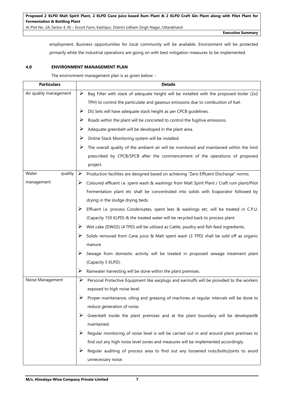**Executive Summary**

employment. Business opportunities for local community will be available. Environment will be protected primarily while the industrial operations are going on with best mitigation measures to be implemented.

# **4.0 ENVIRONMENT MANAGEMENT PLAN**

The environment management plan is as given below: -

| <b>Particulars</b>     |   | <b>Details</b>                                                                              |
|------------------------|---|---------------------------------------------------------------------------------------------|
| Air quality management | ➤ | Bag Filter with stack of adequate height will be installed with the proposed boiler (2x2    |
|                        |   | TPH) to control the particulate and gaseous emissions due to combustion of fuel.            |
|                        | ➤ | DG Sets will have adequate stack height as per CPCB guidelines.                             |
|                        | ➤ | Roads within the plant will be concreted to control the fugitive emissions.                 |
|                        | ➤ | Adequate greenbelt will be developed in the plant area.                                     |
|                        | ➤ | Online Stack Monitoring system will be installed.                                           |
|                        | ➤ | The overall quality of the ambient air will be monitored and maintained within the limit    |
|                        |   | prescribed by CPCB/SPCB after the commencement of the operations of proposed                |
|                        |   | project.                                                                                    |
| quality<br>Water       | ➤ | Production facilities are designed based on achieving "Zero Effluent Discharge" norms.      |
| management             | ➤ | Coloured effluent i.e. spent wash & washings from Malt Spirit Plant / Craft rum plant/Pilot |
|                        |   | Fermentation plant etc shall be concentrated into solids with Evaporator followed by        |
|                        |   | drying in the sludge drying beds.                                                           |
|                        | ➤ | Effluent i.e. process Condensates, spent lees & washings etc. will be treated in C.P.U.     |
|                        |   | (Capacity 150 KLPD) & the treated water will be recycled back to process plant.             |
|                        | ➤ | Wet cake (DWGS) (4 TPD) will be utilized as Cattle, poultry and fish feed ingredients.      |
|                        | ➤ | Solids removed from Cane juice & Malt spent wash (3 TPD) shall be sold off as organic       |
|                        |   | manure.                                                                                     |
|                        |   | Sewage from domestic activity will be treated in proposed sewage treatment plant            |
|                        |   | (Capacity 5 KLPD).                                                                          |
|                        | ➤ | Rainwater harvesting will be done within the plant premises.                                |
| Noise Management       | ➤ | Personal Protective Equipment like earplugs and earmuffs will be provided to the workers    |
|                        |   | exposed to high noise level.                                                                |
|                        |   | Proper maintenance, oiling and greasing of machines at regular intervals will be done to    |
|                        |   | reduce generation of noise.                                                                 |
|                        | ➤ | Greenbelt inside the plant premises and at the plant boundary will be developed&            |
|                        |   | maintained.                                                                                 |
|                        | ➤ | Regular monitoring of noise level is will be carried out in and around plant premises to    |
|                        |   | find out any high noise level zones and measures will be implemented accordingly.           |
|                        | ➤ | Regular auditing of process area to find out any loosened nuts/bolts/joints to avoid        |
|                        |   | unnecessary noise.                                                                          |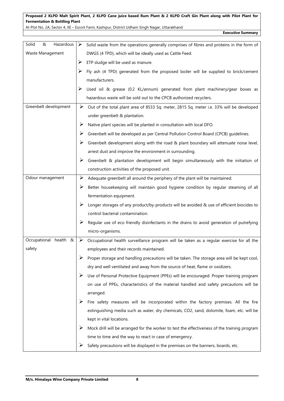At Plot No. 2A, Sector 4, IIE – Escort Farm, Kashipur, District Udham Singh Nagar, Uttarakhand

**Executive Summary**

| Hazardous<br>Solid<br>& | ➤ | Solid waste from the operations generally comprises of fibres and proteins in the form of                 |
|-------------------------|---|-----------------------------------------------------------------------------------------------------------|
| Waste Management        |   | DWGS (4 TPD), which will be ideally used as Cattle Feed.                                                  |
|                         | ➤ | ETP sludge will be used as manure.                                                                        |
|                         | ➤ | Fly ash (4 TPD) generated from the proposed boiler will be supplied to brick/cement                       |
|                         |   | manufacturers.                                                                                            |
|                         | ➤ | Used oil & grease (0.2 KL/annum) generated from plant machinery/gear boxes as                             |
|                         |   | hazardous waste will be sold out to the CPCB authorized recyclers.                                        |
| Greenbelt development   | ➤ | Out of the total plant area of 8533 Sq. meter, 2815 Sq. meter i.e. 33% will be developed                  |
|                         |   | under greenbelt & plantation.                                                                             |
|                         | ➤ | Native plant species will be planted in consultation with local DFO.                                      |
|                         | ➤ | Greenbelt will be developed as per Central Pollution Control Board (CPCB) guidelines.                     |
|                         | ➤ | Greenbelt development along with the road & plant boundary will attenuate noise level,                    |
|                         |   | arrest dust and improve the environment in surrounding.                                                   |
|                         | ➤ | Greenbelt & plantation development will begin simultaneously with the initiation of                       |
|                         |   | construction activities of the proposed unit.                                                             |
| Odour management        | ➤ | Adequate greenbelt all around the periphery of the plant will be maintained.                              |
|                         | ➤ | Better housekeeping will maintain good hygiene condition by regular steaming of all                       |
|                         |   | fermentation equipment.                                                                                   |
|                         | ➤ | Longer storages of any product/by-products will be avoided & use of efficient biocides to                 |
|                         |   | control bacterial contamination.                                                                          |
|                         | ➤ | Regular use of eco friendly disinfectants in the drains to avoid generation of putrefying                 |
|                         |   | micro-organisms.                                                                                          |
| Occupational health &   |   | $\triangleright$ Occupational health surveillance program will be taken as a regular exercise for all the |
| safety                  |   | employees and their records maintained.                                                                   |
|                         | ➤ | Proper storage and handling precautions will be taken. The storage area will be kept cool,                |
|                         |   | dry and well ventilated and away from the source of heat, flame or oxidizers.                             |
|                         | ➤ | Use of Personal Protective Equipment (PPEs) will be encouraged. Proper training program                   |
|                         |   | on use of PPEs, characteristics of the material handled and safety precautions will be                    |
|                         |   | arranged.                                                                                                 |
|                         | ➤ | Fire safety measures will be incorporated within the factory premises. All the fire                       |
|                         |   | extinguishing media such as water, dry chemicals, CO2, sand, dolomite, foam, etc. will be                 |
|                         |   | kept in vital locations.                                                                                  |
|                         | ➤ | Mock drill will be arranged for the worker to test the effectiveness of the training program              |
|                         |   | time to time and the way to react in case of emergency.                                                   |
|                         | ➤ | Safety precautions will be displayed in the premises on the banners, boards, etc.                         |